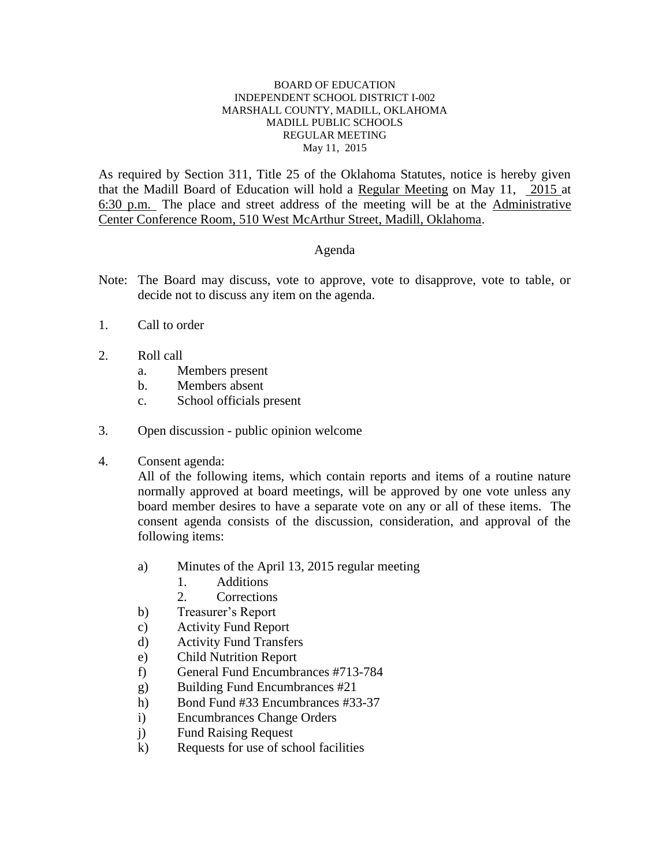#### BOARD OF EDUCATION INDEPENDENT SCHOOL DISTRICT I-002 MARSHALL COUNTY, MADILL, OKLAHOMA MADILL PUBLIC SCHOOLS REGULAR MEETING May 11, 2015

As required by Section 311, Title 25 of the Oklahoma Statutes, notice is hereby given that the Madill Board of Education will hold a Regular Meeting on May 11, 2015 at 6:30 p.m. The place and street address of the meeting will be at the Administrative Center Conference Room, 510 West McArthur Street, Madill, Oklahoma.

#### Agenda

- Note: The Board may discuss, vote to approve, vote to disapprove, vote to table, or decide not to discuss any item on the agenda.
- 1. Call to order
- 2. Roll call
	- a. Members present
	- b. Members absent
	- c. School officials present
- 3. Open discussion public opinion welcome
- 4. Consent agenda:

All of the following items, which contain reports and items of a routine nature normally approved at board meetings, will be approved by one vote unless any board member desires to have a separate vote on any or all of these items. The consent agenda consists of the discussion, consideration, and approval of the following items:

- a) Minutes of the April 13, 2015 regular meeting
	- 1. Additions
	- 2. Corrections
- b) Treasurer's Report
- c) Activity Fund Report
- d) Activity Fund Transfers
- e) Child Nutrition Report
- f) General Fund Encumbrances #713-784
- g) Building Fund Encumbrances #21
- h) Bond Fund #33 Encumbrances #33-37
- i) Encumbrances Change Orders
- j) Fund Raising Request
- k) Requests for use of school facilities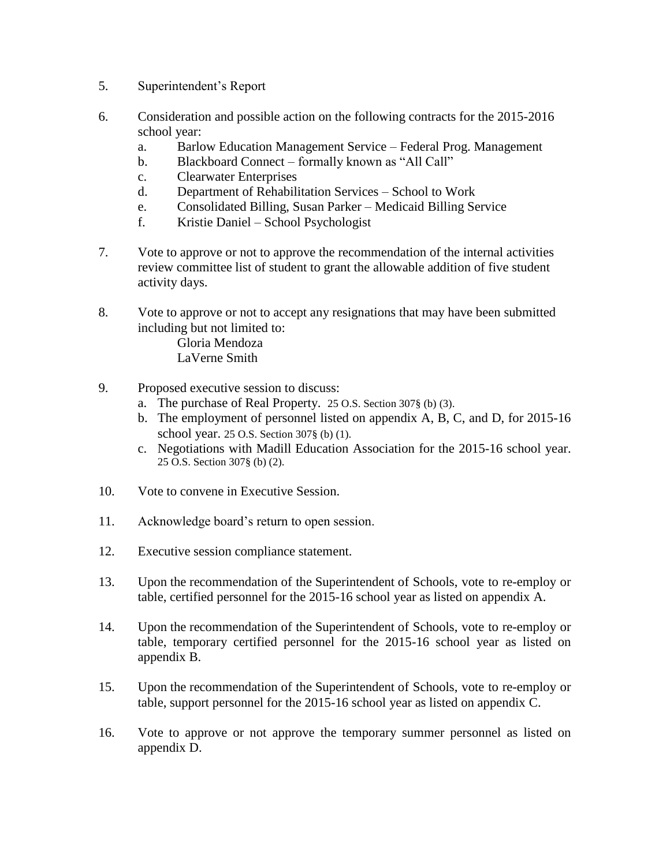- 5. Superintendent's Report
- 6. Consideration and possible action on the following contracts for the 2015-2016 school year:
	- a. Barlow Education Management Service Federal Prog. Management
	- b. Blackboard Connect formally known as "All Call"
	- c. Clearwater Enterprises
	- d. Department of Rehabilitation Services School to Work
	- e. Consolidated Billing, Susan Parker Medicaid Billing Service
	- f. Kristie Daniel School Psychologist
- 7. Vote to approve or not to approve the recommendation of the internal activities review committee list of student to grant the allowable addition of five student activity days.
- 8. Vote to approve or not to accept any resignations that may have been submitted including but not limited to:

Gloria Mendoza LaVerne Smith

- 9. Proposed executive session to discuss:
	- a. The purchase of Real Property. 25 O.S. Section 307§ (b) (3).
	- b. The employment of personnel listed on appendix A, B, C, and D, for 2015-16 school year. 25 O.S. Section 307§ (b) (1).
	- c. Negotiations with Madill Education Association for the 2015-16 school year. 25 O.S. Section 307§ (b) (2).
- 10. Vote to convene in Executive Session.
- 11. Acknowledge board's return to open session.
- 12. Executive session compliance statement.
- 13. Upon the recommendation of the Superintendent of Schools, vote to re-employ or table, certified personnel for the 2015-16 school year as listed on appendix A.
- 14. Upon the recommendation of the Superintendent of Schools, vote to re-employ or table, temporary certified personnel for the 2015-16 school year as listed on appendix B.
- 15. Upon the recommendation of the Superintendent of Schools, vote to re-employ or table, support personnel for the 2015-16 school year as listed on appendix C.
- 16. Vote to approve or not approve the temporary summer personnel as listed on appendix D.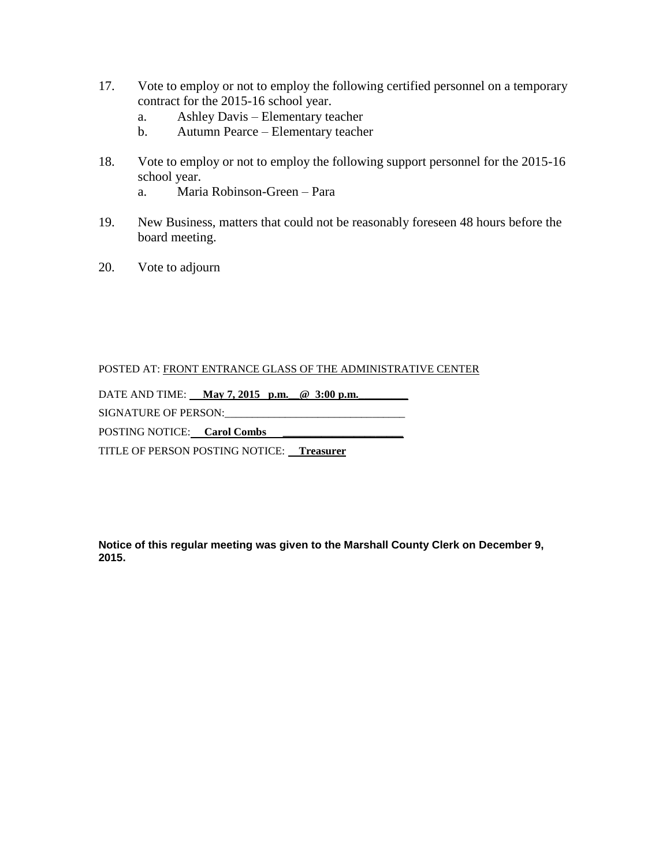- 17. Vote to employ or not to employ the following certified personnel on a temporary contract for the 2015-16 school year.
	- a. Ashley Davis Elementary teacher
	- b. Autumn Pearce Elementary teacher
- 18. Vote to employ or not to employ the following support personnel for the 2015-16 school year.
	- a. Maria Robinson-Green Para
- 19. New Business, matters that could not be reasonably foreseen 48 hours before the board meeting.
- 20. Vote to adjourn

#### POSTED AT: FRONT ENTRANCE GLASS OF THE ADMINISTRATIVE CENTER

DATE AND TIME: May 7, 2015 p.m. @ 3:00 p.m.

SIGNATURE OF PERSON:\_\_\_\_\_\_\_\_\_\_\_\_\_\_\_\_\_\_\_\_\_\_\_\_\_\_\_\_\_\_\_\_\_

POSTING NOTICE: **Carol Combs** 

TITLE OF PERSON POSTING NOTICE: **Treasurer** 

**Notice of this regular meeting was given to the Marshall County Clerk on December 9, 2015.**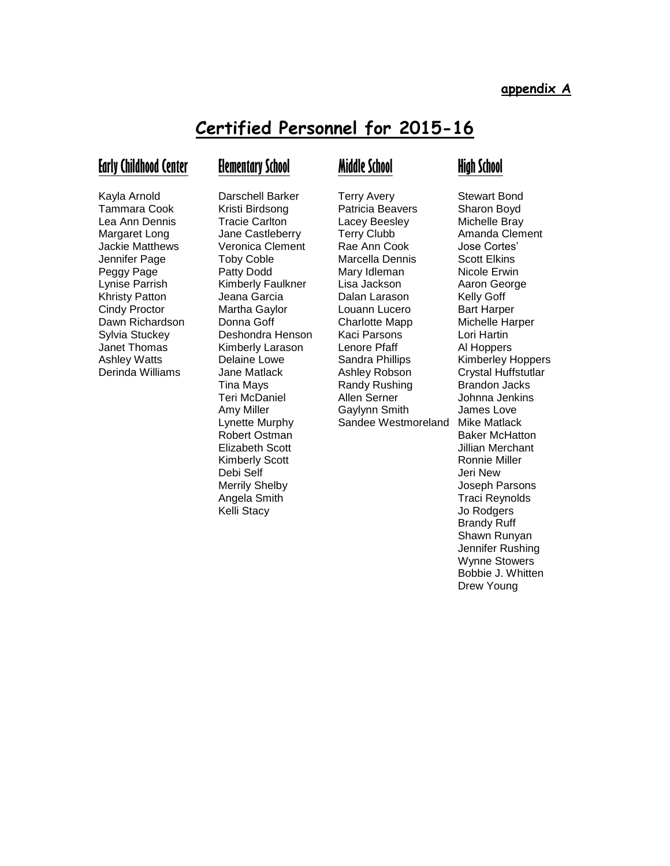# **Certified Personnel for 2015-16**

#### **Early Childhood Center**

## **Elementary School**

Kayla Arnold Tammara Cook Lea Ann Dennis Margaret Long Jackie Matthews Jennifer Page Peggy Page Lynise Parrish Khristy Patton Cindy Proctor Dawn Richardson Sylvia Stuckey Janet Thomas Ashley Watts Derinda Williams

Darschell Barker Kristi Birdsong Tracie Carlton Jane Castleberry Veronica Clement Toby Coble Patty Dodd Kimberly Faulkner Jeana Garcia Martha Gaylor Donna Goff Deshondra Henson Kimberly Larason Delaine Lowe Jane Matlack Tina Mays Teri McDaniel Amy Miller Lynette Murphy Robert Ostman Elizabeth Scott Kimberly Scott Debi Self Merrily Shelby Angela Smith Kelli Stacy

### **Middle School**

Terry Avery Patricia Beavers Lacey Beesley Terry Clubb Rae Ann Cook Marcella Dennis Mary Idleman Lisa Jackson Dalan Larason Louann Lucero Charlotte Mapp Kaci Parsons Lenore Pfaff Sandra Phillips Ashley Robson Randy Rushing Allen Serner Gaylynn Smith

## **High School**

Sandee Westmoreland Mike Matlack Stewart Bond Sharon Boyd Michelle Bray Amanda Clement Jose Cortes' Scott Elkins Nicole Erwin Aaron George Kelly Goff Bart Harper Michelle Harper Lori Hartin Al Hoppers Kimberley Hoppers Crystal Huffstutlar Brandon Jacks Johnna Jenkins James Love Baker McHatton Jillian Merchant Ronnie Miller Jeri New Joseph Parsons Traci Reynolds Jo Rodgers Brandy Ruff Shawn Runyan Jennifer Rushing Wynne Stowers Bobbie J. Whitten Drew Young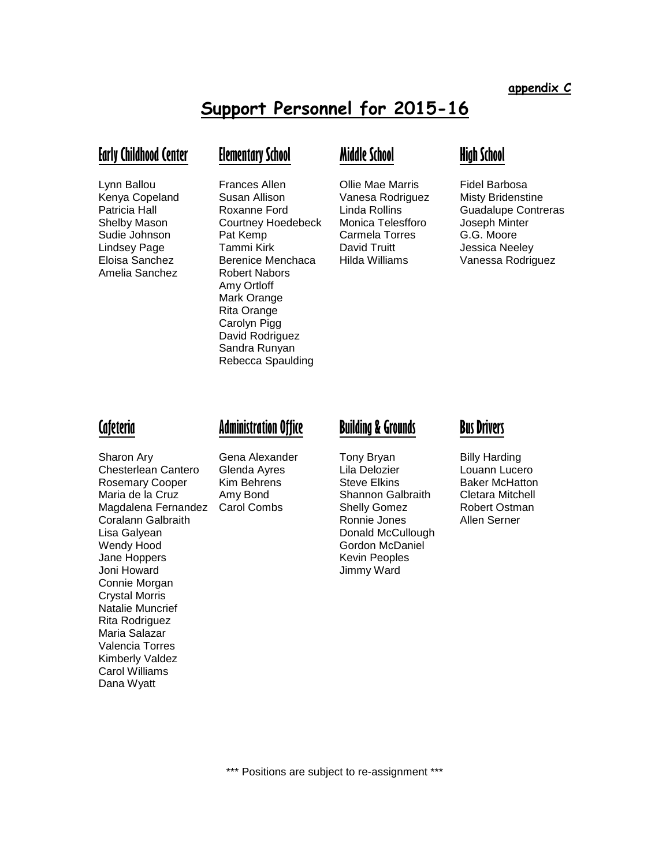# **Support Personnel for 2015-16**

#### **Early Childhood Center**

Lynn Ballou Kenya Copeland Patricia Hall Shelby Mason Sudie Johnson Lindsey Page Eloisa Sanchez Amelia Sanchez

## **Elementary School**

Frances Allen Susan Allison Roxanne Ford Courtney Hoedebeck Pat Kemp Tammi Kirk Berenice Menchaca Robert Nabors Amy Ortloff Mark Orange Rita Orange Carolyn Pigg David Rodriguez Sandra Runyan Rebecca Spaulding

## **Middle School**

Ollie Mae Marris Vanesa Rodriguez Linda Rollins Monica Telesfforo Carmela Torres David Truitt Hilda Williams

## **High School**

Fidel Barbosa Misty Bridenstine Guadalupe Contreras Joseph Minter G.G. Moore Jessica Neeley Vanessa Rodriguez

#### **Cafeteria**

Sharon Ary Chesterlean Cantero Rosemary Cooper Maria de la Cruz Magdalena Fernandez Coralann Galbraith Lisa Galyean Wendy Hood Jane Hoppers Joni Howard Connie Morgan Crystal Morris Natalie Muncrief Rita Rodriguez Maria Salazar Valencia Torres Kimberly Valdez Carol Williams Dana Wyatt

## **Administration Office**

Gena Alexander Glenda Ayres Kim Behrens Amy Bond Carol Combs

## **Building & Grounds**

Tony Bryan Lila Delozier Steve Elkins Shannon Galbraith Shelly Gomez Ronnie Jones Donald McCullough Gordon McDaniel Kevin Peoples Jimmy Ward

#### **Bus Drivers**

Billy Harding Louann Lucero Baker McHatton Cletara Mitchell Robert Ostman Allen Serner

\*\*\* Positions are subject to re-assignment \*\*\*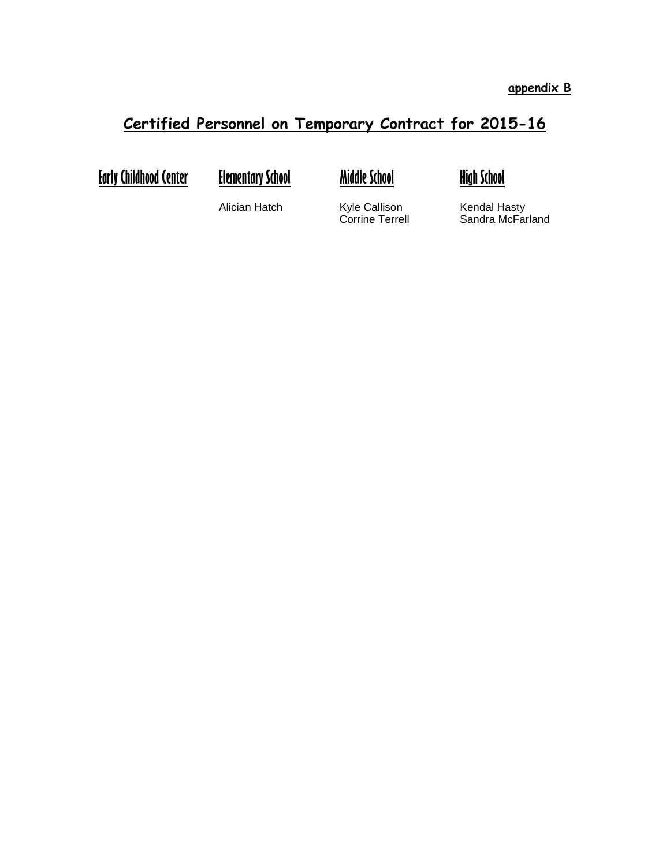# **Certified Personnel on Temporary Contract for 2015-16**

**Early Childhood Center Elementary School**

**Middle School**



Alician Hatch

Kyle Callison Corrine Terrell Kendal Hasty Sandra McFarland